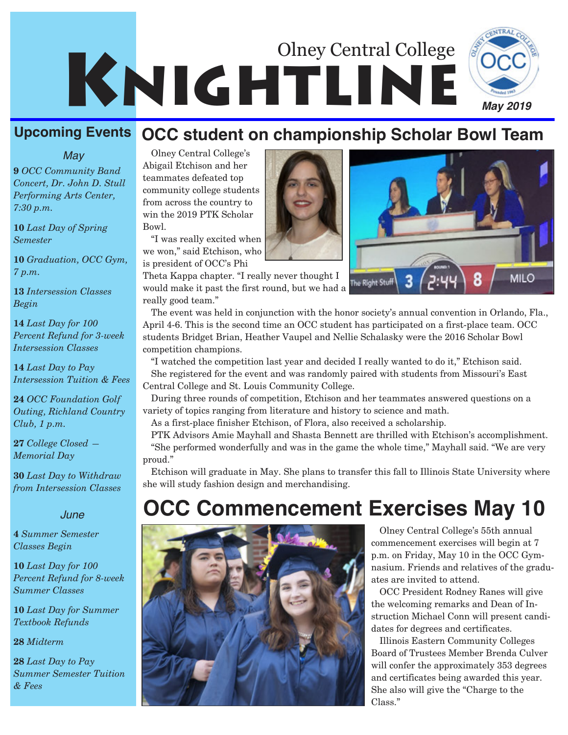# KNIGHTLINE Olney Central College



#### **Upcoming Events OCC student on championship Scholar Bowl Team**

*May*

**9** *OCC Community Band Concert, Dr. John D. Stull Performing Arts Center, 7:30 p.m.*

**10** *Last Day of Spring Semester*

**10** *Graduation, OCC Gym, 7 p.m.*

**13** *Intersession Classes Begin*

**14** *Last Day for 100 Percent Refund for 3-week Intersession Classes*

**14** *Last Day to Pay Intersession Tuition & Fees*

**24** *OCC Foundation Golf Outing, Richland Country Club, 1 p.m.*

**27** *College Closed — Memorial Day*

**30** *Last Day to Withdraw from Intersession Classes*

#### *June*

**4** *Summer Semester Classes Begin*

**10** *Last Day for 100 Percent Refund for 8-week Summer Classes*

**10** *Last Day for Summer Textbook Refunds*

**28** *Midterm*

**28** *Last Day to Pay Summer Semester Tuition & Fees*

Olney Central College's Abigail Etchison and her teammates defeated top community college students from across the country to win the 2019 PTK Scholar Bowl.

"I was really excited when we won," said Etchison, who is president of OCC's Phi

Theta Kappa chapter. "I really never thought I would make it past the first round, but we had a really good team."



The event was held in conjunction with the honor society's annual convention in Orlando, Fla., April 4-6. This is the second time an OCC student has participated on a first-place team. OCC students Bridget Brian, Heather Vaupel and Nellie Schalasky were the 2016 Scholar Bowl competition champions.

"I watched the competition last year and decided I really wanted to do it," Etchison said. She registered for the event and was randomly paired with students from Missouri's East Central College and St. Louis Community College.

During three rounds of competition, Etchison and her teammates answered questions on a variety of topics ranging from literature and history to science and math.

As a first-place finisher Etchison, of Flora, also received a scholarship.

PTK Advisors Amie Mayhall and Shasta Bennett are thrilled with Etchison's accomplishment. "She performed wonderfully and was in the game the whole time," Mayhall said. "We are very proud."

Etchison will graduate in May. She plans to transfer this fall to Illinois State University where she will study fashion design and merchandising.

## **OCC Commencement Exercises May 10**



Olney Central College's 55th annual commencement exercises will begin at 7 p.m. on Friday, May 10 in the OCC Gymnasium. Friends and relatives of the graduates are invited to attend.

OCC President Rodney Ranes will give the welcoming remarks and Dean of Instruction Michael Conn will present candidates for degrees and certificates.

Illinois Eastern Community Colleges Board of Trustees Member Brenda Culver will confer the approximately 353 degrees and certificates being awarded this year. She also will give the "Charge to the Class."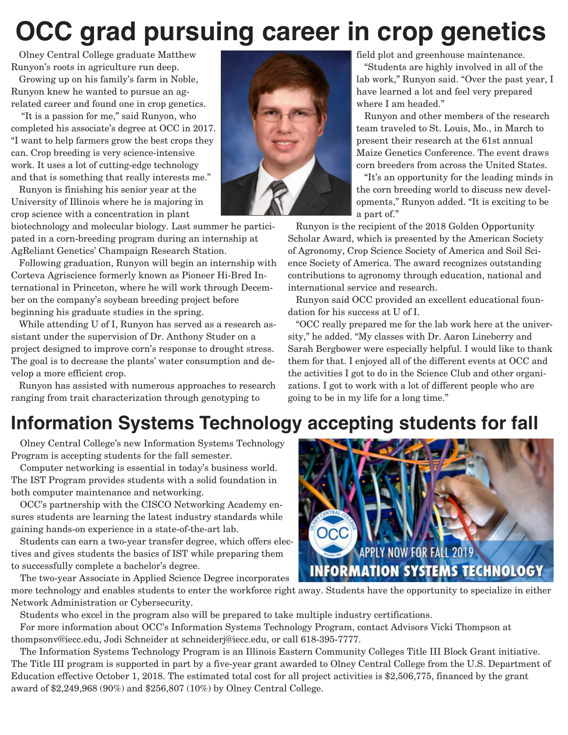## **OCC grad pursuing career in crop genetics**

Olney Central College graduate Matthew Runyon's roots in agriculture run deep.

Growing up on his family's farm in Noble, Runyon knew he wanted to pursue an agrelated career and found one in crop genetics.

"It is a passion for me," said Runyon, who completed his associate's degree at OCC in 2017. "I want to help farmers grow the best crops they can. Crop breeding is very science-intensive work. It uses a lot of cutting-edge technology and that is something that really interests me."

Runyon is finishing his senior year at the University of Illinois where he is majoring in crop science with a concentration in plant

biotechnology and molecular biology. Last summer he participated in a corn-breeding program during an internship at AgReliant Genetics' Champaign Research Station.

Following graduation, Runyon will begin an internship with Corteva Agriscience formerly known as Pioneer Hi-Bred International in Princeton, where he will work through December on the company's soybean breeding project before beginning his graduate studies in the spring.

While attending U of I, Runyon has served as a research assistant under the supervision of Dr. Anthony Studer on a project designed to improve corn's response to drought stress. The goal is to decrease the plants' water consumption and develop a more efficient crop.

Runyon has assisted with numerous approaches to research ranging from trait characterization through genotyping to



field plot and greenhouse maintenance.

"Students are highly involved in all of the lab work," Runyon said. "Over the past year, I have learned a lot and feel very prepared where I am headed."

Runyon and other members of the research team traveled to St. Louis, Mo., in March to present their research at the 61st annual Maize Genetics Conference. The event draws corn breeders from across the United States.

"It's an opportunity for the leading minds in the corn breeding world to discuss new developments," Runyon added. "It is exciting to be a part of."

Runyon is the recipient of the 2018 Golden Opportunity Scholar Award, which is presented by the American Society of Agronomy, Crop Science Society of America and Soil Science Society of America. The award recognizes outstanding contributions to agronomy through education, national and international service and research.

Runyon said OCC provided an excellent educational foundation for his success at U of I.

"OCC really prepared me for the lab work here at the university," he added. "My classes with Dr. Aaron Lineberry and Sarah Bergbower were especially helpful. I would like to thank them for that. I enjoyed all of the different events at OCC and the activities I got to do in the Science Club and other organizations. I got to work with a lot of different people who are going to be in my life for a long time."

## **Information Systems Technology accepting students for fall**

Olney Central College's new Information Systems Technology Program is accepting students for the fall semester.

Computer networking is essential in today's business world. The IST Program provides students with a solid foundation in both computer maintenance and networking.

OCC's partnership with the CISCO Networking Academy ensures students are learning the latest industry standards while gaining hands-on experience in a state-of-the-art lab.

Students can earn a two-year transfer degree, which offers electives and gives students the basics of IST while preparing them to successfully complete a bachelor's degree.

The two-year Associate in Applied Science Degree incorporates



more technology and enables students to enter the workforce right away. Students have the opportunity to specialize in either Network Administration or Cybersecurity.

Students who excel in the program also will be prepared to take multiple industry certifications.

For more information about OCC's Information Systems Technology Program, contact Advisors Vicki Thompson at thompsonv@iecc.edu, Jodi Schneider at schneiderj@iecc.edu, or call 618-395-7777.

The Information Systems Technology Program is an Illinois Eastern Community Colleges Title III Block Grant initiative. The Title III program is supported in part by a five-year grant awarded to Olney Central College from the U.S. Department of Education effective October 1, 2018. The estimated total cost for all project activities is \$2,506,775, financed by the grant award of \$2,249,968 (90%) and \$256,807 (10%) by Olney Central College.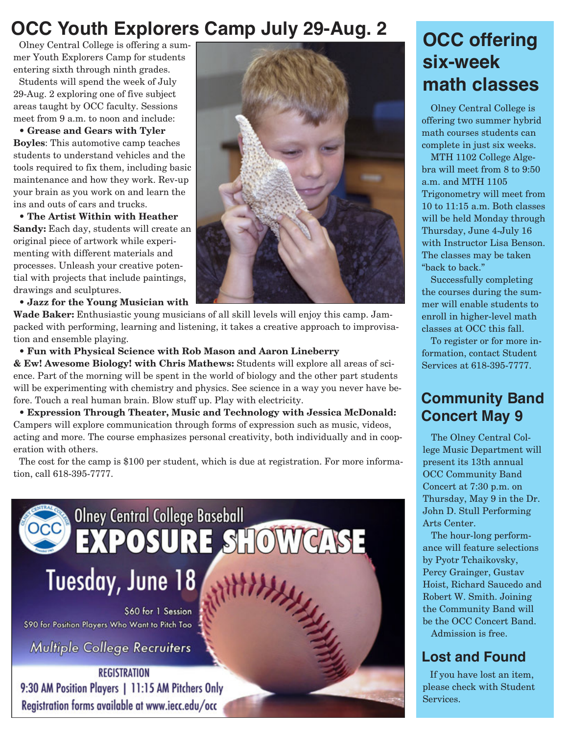### **OCC Youth Explorers Camp July 29-Aug. 2**

Olney Central College is offering a summer Youth Explorers Camp for students entering sixth through ninth grades.

Students will spend the week of July 29-Aug. 2 exploring one of five subject areas taught by OCC faculty. Sessions meet from 9 a.m. to noon and include:

• **Grease and Gears with Tyler Boyles**: This automotive camp teaches students to understand vehicles and the tools required to fix them, including basic maintenance and how they work. Rev-up your brain as you work on and learn the ins and outs of cars and trucks.

• **The Artist Within with Heather Sandy:** Each day, students will create an original piece of artwork while experimenting with different materials and processes. Unleash your creative potential with projects that include paintings, drawings and sculptures.

• **Jazz for the Young Musician with**

**Wade Baker:** Enthusiastic young musicians of all skill levels will enjoy this camp. Jampacked with performing, learning and listening, it takes a creative approach to improvisation and ensemble playing.

• **Fun with Physical Science with Rob Mason and Aaron Lineberry**

**& Ew! Awesome Biology! with Chris Mathews:** Students will explore all areas of science. Part of the morning will be spent in the world of biology and the other part students will be experimenting with chemistry and physics. See science in a way you never have before. Touch a real human brain. Blow stuff up. Play with electricity.

• **Expression Through Theater, Music and Technology with Jessica McDonald:** Campers will explore communication through forms of expression such as music, videos, acting and more. The course emphasizes personal creativity, both individually and in cooperation with others.

The cost for the camp is \$100 per student, which is due at registration. For more information, call 618-395-7777.





### **OCC offering six-week math classes**

Olney Central College is offering two summer hybrid math courses students can complete in just six weeks.

MTH 1102 College Algebra will meet from 8 to 9:50 a.m. and MTH 1105 Trigonometry will meet from 10 to 11:15 a.m. Both classes will be held Monday through Thursday, June 4-July 16 with Instructor Lisa Benson. The classes may be taken "back to back."

Successfully completing the courses during the summer will enable students to enroll in higher-level math classes at OCC this fall.

To register or for more information, contact Student Services at 618-395-7777.

#### **Community Band Concert May 9**

The Olney Central College Music Department will present its 13th annual OCC Community Band Concert at 7:30 p.m. on Thursday, May 9 in the Dr. John D. Stull Performing Arts Center.

The hour-long performance will feature selections by Pyotr Tchaikovsky, Percy Grainger, Gustav Hoist, Richard Saucedo and Robert W. Smith. Joining the Community Band will be the OCC Concert Band. Admission is free.

#### **Lost and Found**

If you have lost an item, please check with Student Services.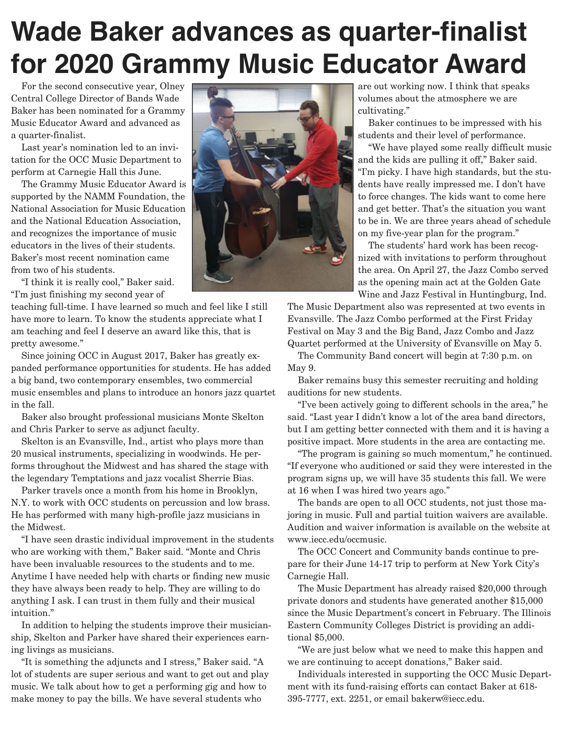## **Wade Baker advances as quarter-finalist for 2020 Grammy Music Educator Award**

For the second consecutive year, Olney Central College Director of Bands Wade Baker has been nominated for a Grammy Music Educator Award and advanced as a quarter-finalist.

Last year's nomination led to an invitation for the OCC Music Department to perform at Carnegie Hall this June.

The Grammy Music Educator Award is supported by the NAMM Foundation, the National Association for Music Education and the National Education Association, and recognizes the importance of music educators in the lives of their students. Baker's most recent nomination came from two of his students.

"I think it is really cool," Baker said. "I'm just finishing my second year of

teaching full-time. I have learned so much and feel like I still have more to learn. To know the students appreciate what I am teaching and feel I deserve an award like this, that is pretty awesome."

Since joining OCC in August 2017, Baker has greatly expanded performance opportunities for students. He has added a big band, two contemporary ensembles, two commercial music ensembles and plans to introduce an honors jazz quartet in the fall.

Baker also brought professional musicians Monte Skelton and Chris Parker to serve as adjunct faculty.

Skelton is an Evansville, Ind., artist who plays more than 20 musical instruments, specializing in woodwinds. He performs throughout the Midwest and has shared the stage with the legendary Temptations and jazz vocalist Sherrie Bias.

Parker travels once a month from his home in Brooklyn, N.Y. to work with OCC students on percussion and low brass. He has performed with many high-profile jazz musicians in the Midwest.

"I have seen drastic individual improvement in the students who are working with them," Baker said. "Monte and Chris have been invaluable resources to the students and to me. Anytime I have needed help with charts or finding new music they have always been ready to help. They are willing to do anything I ask. I can trust in them fully and their musical intuition."

In addition to helping the students improve their musicianship, Skelton and Parker have shared their experiences earning livings as musicians.

"It is something the adjuncts and I stress," Baker said. "A lot of students are super serious and want to get out and play music. We talk about how to get a performing gig and how to make money to pay the bills. We have several students who



are out working now. I think that speaks volumes about the atmosphere we are cultivating."

Baker continues to be impressed with his students and their level of performance.

"We have played some really difficult music and the kids are pulling it off," Baker said. "I'm picky. I have high standards, but the students have really impressed me. I don't have to force changes. The kids want to come here and get better. That's the situation you want to be in. We are three years ahead of schedule on my five-year plan for the program."

The students' hard work has been recognized with invitations to perform throughout the area. On April 27, the Jazz Combo served as the opening main act at the Golden Gate Wine and Jazz Festival in Huntingburg, Ind.

The Music Department also was represented at two events in Evansville. The Jazz Combo performed at the First Friday Festival on May 3 and the Big Band, Jazz Combo and Jazz Quartet performed at the University of Evansville on May 5.

The Community Band concert will begin at 7:30 p.m. on May 9.

Baker remains busy this semester recruiting and holding auditions for new students.

"I've been actively going to different schools in the area," he said. "Last year I didn't know a lot of the area band directors, but I am getting better connected with them and it is having a positive impact. More students in the area are contacting me.

"The program is gaining so much momentum," he continued. "If everyone who auditioned or said they were interested in the program signs up, we will have 35 students this fall. We were at 16 when I was hired two years ago."

The bands are open to all OCC students, not just those majoring in music. Full and partial tuition waivers are available. Audition and waiver information is available on the website at www.iecc.edu/occmusic.

The OCC Concert and Community bands continue to prepare for their June 14-17 trip to perform at New York City's Carnegie Hall.

The Music Department has already raised \$20,000 through private donors and students have generated another \$15,000 since the Music Department's concert in February. The Illinois Eastern Community Colleges District is providing an additional \$5,000.

"We are just below what we need to make this happen and we are continuing to accept donations," Baker said.

Individuals interested in supporting the OCC Music Department with its fund-raising efforts can contact Baker at 618- 395-7777, ext. 2251, or email bakerw@iecc.edu.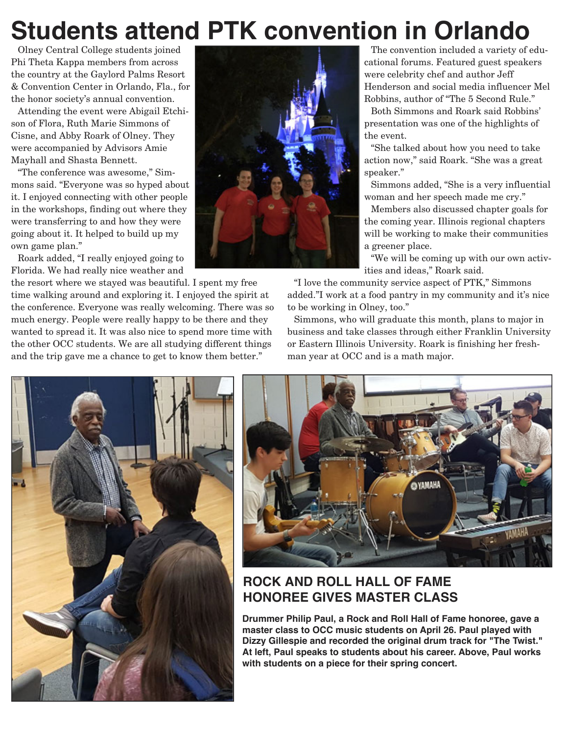## **Students attend PTK convention in Orlando**

Olney Central College students joined Phi Theta Kappa members from across the country at the Gaylord Palms Resort & Convention Center in Orlando, Fla., for the honor society's annual convention.

Attending the event were Abigail Etchison of Flora, Ruth Marie Simmons of Cisne, and Abby Roark of Olney. They were accompanied by Advisors Amie Mayhall and Shasta Bennett.

"The conference was awesome," Simmons said. "Everyone was so hyped about it. I enjoyed connecting with other people in the workshops, finding out where they were transferring to and how they were going about it. It helped to build up my own game plan."

Roark added, "I really enjoyed going to Florida. We had really nice weather and

the resort where we stayed was beautiful. I spent my free time walking around and exploring it. I enjoyed the spirit at the conference. Everyone was really welcoming. There was so much energy. People were really happy to be there and they wanted to spread it. It was also nice to spend more time with the other OCC students. We are all studying different things and the trip gave me a chance to get to know them better."



The convention included a variety of educational forums. Featured guest speakers were celebrity chef and author Jeff Henderson and social media influencer Mel Robbins, author of "The 5 Second Rule."

Both Simmons and Roark said Robbins' presentation was one of the highlights of the event.

"She talked about how you need to take action now," said Roark. "She was a great speaker."

Simmons added, "She is a very influential woman and her speech made me cry."

Members also discussed chapter goals for the coming year. Illinois regional chapters will be working to make their communities a greener place.

"We will be coming up with our own activities and ideas," Roark said.

"I love the community service aspect of PTK," Simmons added."I work at a food pantry in my community and it's nice to be working in Olney, too."

Simmons, who will graduate this month, plans to major in business and take classes through either Franklin University or Eastern Illinois University. Roark is finishing her freshman year at OCC and is a math major.





#### **ROCK AND ROLL HALL OF FAME HONOREE GIVES MASTER CLASS**

**Drummer Philip Paul, a Rock and Roll Hall of Fame honoree, gave a master class to OCC music students on April 26. Paul played with Dizzy Gillespie and recorded the original drum track for "The Twist." At left, Paul speaks to students about his career. Above, Paul works with students on a piece for their spring concert.**